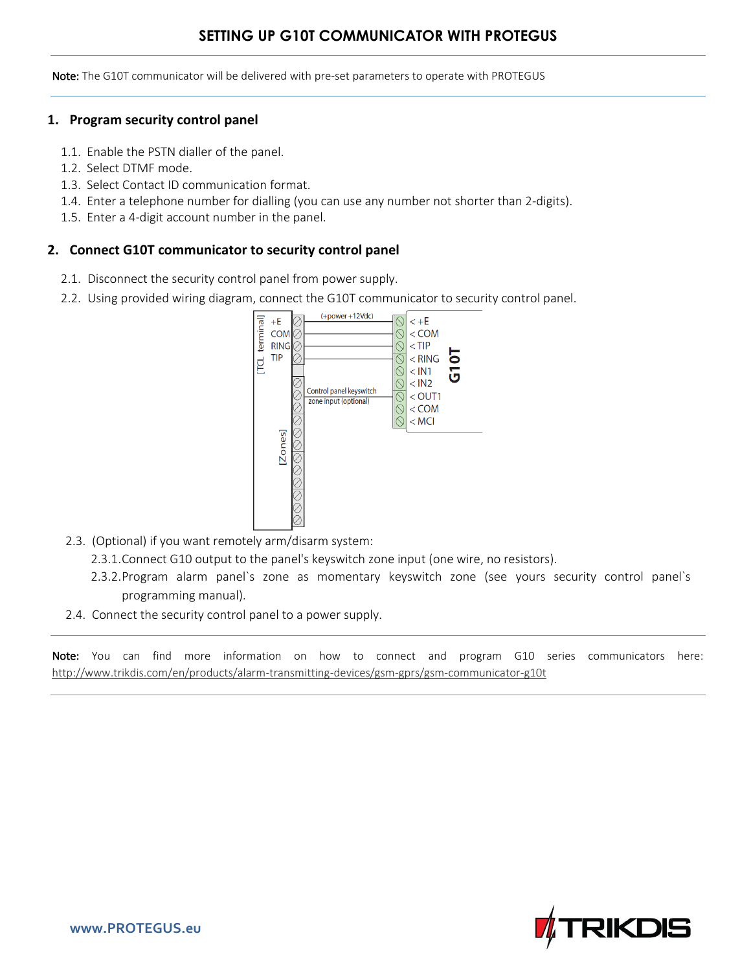## **SETTING UP G10T COMMUNICATOR WITH PROTEGUS**

Note: The G10T communicator will be delivered with pre-set parameters to operate with PROTEGUS

## **1. Program security control panel**

- 1.1. Enable the PSTN dialler of the panel.
- 1.2. Select DTMF mode.
- 1.3. Select Contact ID communication format.
- 1.4. Enter a telephone number for dialling (you can use any number not shorter than 2-digits).
- 1.5. Enter a 4-digit account number in the panel.

## **2. Connect G10T communicator to security control panel**

- 2.1. Disconnect the security control panel from power supply.
- 2.2. Using provided wiring diagram, connect the G10T communicator to security control panel.



- 2.3. (Optional) if you want remotely arm/disarm system:
	- 2.3.1.Connect G10 output to the panel's keyswitch zone input (one wire, no resistors).
	- 2.3.2.Program alarm panel`s zone as momentary keyswitch zone (see yours security control panel`s programming manual).
- 2.4. Connect the security control panel to a power supply.

Note: You can find more information on how to connect and program G10 series communicators here: http://www.trikdis.com/en/products/alarm-transmitting-devices/gsm-gprs/gsm-communicator-g10t